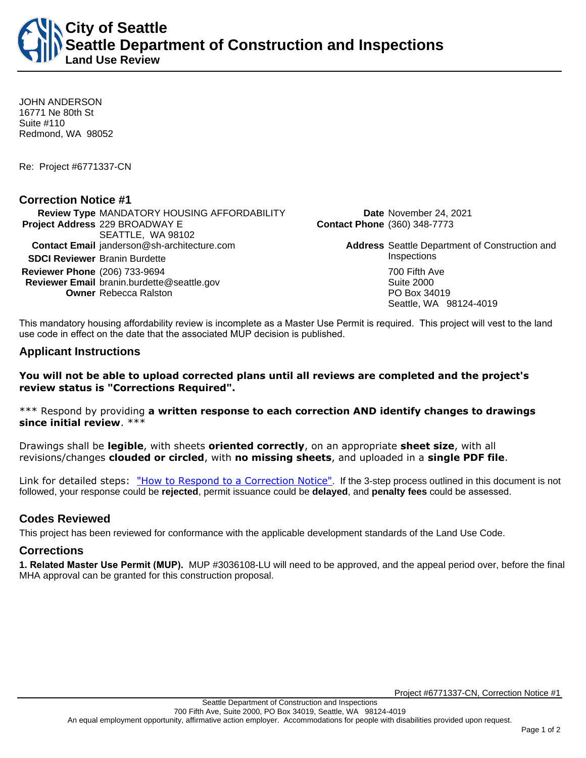**City of Seattle Seattle Department of Construction and Inspections Land Use Review**

JOHN ANDERSON 16771 Ne 80th St Suite #110 Redmond, WA 98052

Re: Project #6771337-CN

### **Correction Notice #1**

**Review Type** MANDATORY HOUSING AFFORDABILITY **Date** November 24, 2021 **Project Address** 229 BROADWAY E SEATTLE, WA 98102 **Contact Email** janderson@sh-architecture.com **Address** Seattle Department of Construction and **SDCI Reviewer** Branin Burdette **Inspections Inspections Reviewer Phone** (206) 733-9694 **700 Fifth Ave Reviewer Email** branin.burdette@seattle.gov **Suite 2000** Suite 2000 **Owner** Rebecca Ralston **PO Box 34019** 

**Contact Phone** (360) 348-7773

Seattle, WA 98124-4019

This mandatory housing affordability review is incomplete as a Master Use Permit is required. This project will vest to the land use code in effect on the date that the associated MUP decision is published.

## **Applicant Instructions**

#### **You will not be able to upload corrected plans until all reviews are completed and the project's review status is "Corrections Required".**

\*\*\* Respond by providing **a written response to each correction AND identify changes to drawings since initial review**. \*\*\*

Drawings shall be **legible**, with sheets **oriented correctly**, on an appropriate **sheet size**, with all revisions/changes **clouded or circled**, with **no missing sheets**, and uploaded in a **single PDF file**.

Link for detailed steps: ["How to Respond to a Correction Notice"](http://www.seattle.gov/documents/Departments/SDCI/Permits/HowtoRespondSDCICorrectionNotice.pdf). If the 3-step process outlined in this document is not followed, your response could be **rejected**, permit issuance could be **delayed**, and **penalty fees** could be assessed.

## **Codes Reviewed**

This project has been reviewed for conformance with the applicable development standards of the Land Use Code.

#### **Corrections**

**1. Related Master Use Permit (MUP).** MUP #3036108-LU will need to be approved, and the appeal period over, before the final MHA approval can be granted for this construction proposal.